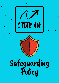STEER UP



# Safeguarding Policy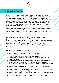# INTRODUCTION

Steer Up is committed to safeguarding and promoting the welfare of children, young people and vulnerable adults who participate in our activities. Children, young people and vulnerable adults should never experience abuse of any kind and we have a responsibility to promote the welfare of all individuals, to keep them safe and to practise in a way that protects them. We do this by ensuring that there are appropriate arrangements in place to enable us to discharge our duty to provide a safe and secure environment and to deal with issues concerned with suspected or reported abuse.

We recognise that the welfare of children, young people and vulnerable adults is paramount in all the work we do and the decisions we take. Working together with children, young people, their parents, carers and other professionals is essential in promotions people's welfare.

All children, young people and vulnerable adults, regardless of age, disability, gender reassignment, race, religion or belief, sex, or sexual orientation have an equal right to protection from all types of harm or abuse. We recognise that some children are additionally vulnerable due to the impact of previous experiences, their level of dependency, communication needs or other issues; and extra safeguards may be needed to keep children who are additionally vulnerable safe from abuse.

We will seek to keep children and young people safe by:

- Valuing, listening to and respecting them
- Appointing a nominated Safeguarding protection lead
- Adopting child protection and safeguarding best practice through our policies, procedures and code of conduct for staff and volunteers
- Developing and implementing an effective digital safeguarding policy and related procedures
- Providing effective management for staff and volunteers through supervision, support, training and quality assurance measures so that all staff and volunteers know about and follow our policies, procedures and behaviour codes confidently and competently
- Recruiting and selecting staff and volunteers safely, ensuring all necessary checks are made
- Recording and storing and using information professionally and securely, in line with data protection legislation and guidance
- Sharing information about safeguarding and good practice with everyone who interacts with Steer Up
- Ensuring all our users know where to go for help if they have a concern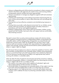- Using our safeguarding and child protection procedures to share concerns and relevant information with agencies who need to know, and involving children, young people, parents, families and carers appropriately
- Using our procedures to manage any allegations against staff and volunteers appropriately
- Creating and maintaining an anti-bullying environment and ensuring that we have a policy and procedure to help us deal effectively with any bullying that does arise
- Ensuring that we have effective complaints and whistleblowing measures in place
- Ensuring that we provide a safe physical environment for our children, young people, staff and volunteers, by applying health and safety measures in accordance with the law and regulatory guidance
- Building a safeguarding culture where staff and volunteers, children, young people and their families, treat each other with respect and are comfortable about sharing concerns

We seek to ensure that our policy and procedures comply with statutory duties; reflect guidance and good practice in safeguarding children, young people and vulnerable adults; and that safeguarding arrangements are proportionate and based upon common sense. Steer Up recognises that we have a duty to help mentors, staff and volunteers recognise their responsibilities (through guidance, support and training), minimise risk and avoid situations (where possible) where abuse or neglect might be alleged.

We will ensure that processes are in place to check the suitability of mentors, staff and volunteers working directly with vulnerable adults, children and young people. There is a commitment that such staff and volunteers have satisfactory Disclosure from the Disclosure and Barring Service (DBS), at an appropriate level, before working with children or vulnerable adults.

Steer Up takes the duty of pastoral care seriously and will be proactive in seeking to prevent young people, children or vulnerable adults from becoming the victims of abuse or neglect. We do this in a number of ways:

- 1.The creation of an open culture which respects all individuals' rights and discourages bullying and discrimination of all kinds
- Informing children, young people and vulnerable adults of their rights to be free 2. from harm and encouraging them to talk to us if they have any concerns.
- Ongoing support, at an appropriate level, to promote self-esteem and social 3.inclusion, and to address the issue of protecting vulnerable adults in the wider context.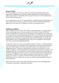#### Scope of Policy

This Policy applies to all mentors, staff and volunteers (including freelancers) employed or engaged by us. All have a legal responsibility to take seriously any child, young person or vulnerable adult concerns that come to their attention and follow the procedures given.

As an organisation, it is not our responsibility to investigate abuse. Nevertheless, we have a duty to act if there is a cause for concern and to notify the appropriate agencies so that they can investigate and take any necessary action.

#### Staff Responsibilities

Staff working in direct contact with children, vulnerable adults or young people on a day-to-day basis may come across signs of harm and/or abuse. Staff must ensure that significant concerns for the wellbeing of a young person are reported to the appropriate nominated safeguarding officer. This will invoke the appropriate procedures to protect the child, young person or vulnerable adult, involving Social Services and/or the Police as appropriate. Where staff members are unsure and need guidance about safeguarding issues, they are encouraged to seek support from their nominated safeguarding officer.

In the event of any concern by any member of staff or mentor, or if approached by a child, young person or vulnerable adult, regarding any matter concerning abuse, they must tell the person that they are bound to pass on the information to the designated person. The person receiving the information should pass it on as a matter of urgency to ensure the matter can be dealt with as soon as possible. If the designated person is not available, the staff member should contact a member of the Senior Management Team. No person must be promised that anything they say will be kept confidential if the matter is related to their protection or abuse. It is helpful for a mentor or member of staff to tell the person they will jot down anything the person actually says to ensure an exact record as possible is kept for future reference.

Staff and mentors alike should make themselves familiar with the Safeguarding Procedures, contained in a separate document.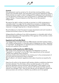#### **Controls**

Risk assessments must be carried out for all activities involving children, young people and vulnerable adults, and reasonable, proportionate adaptations made to those activities as a result in order to safeguard the wellbeing of such individuals. It is at the discretion of Steer Up to ask a young person or vulnerable adult to bring a Support Worker / Personal Assistant so that they can be fully assisted / safeguarded.

We reserve the right to refuse to provide our services to a child, young person or vulnerable adult, if we judge that the adaptations necessary to safeguard that individual's wellbeing go beyond what is reasonable and proportionate, including measures to manage inappropriate or disruptive behaviour.

We will endeavour to meet the person's access requirements and work towards an inclusive environment, as per our Vision and Values.

Safeguarding the wellbeing of any child, young person or vulnerable adult without their parent/guardian is the responsibility of the organiser of the activities in which the person is participating.

#### Regulated and Controlled Work:

The Safeguarding Vulnerable Adults Act 2006 requires work that involves contact with children, young people or vulnerable adults is designated as either "regulated" or "controlled". The designation of regulated and controlled posts will be reviewed annually and updated where necessary.

## Disclosure and Barring Service (DBS) Checks:

DBS checks will be obtained when required by the designation of work as "regulated" or "controlled" or by the DBS. These requirements will be reviewed annually and updated where necessary.

Disclosure checks will be obtained for new starters prior to the commencement of any work where the Disclosure check is required

We will adhere to all relevant regulations and codes of practice as issued by the DBS.

Steer Up will confirm to the relevant staff member whether a satisfactory disclosure has been obtained. This information will be recorded securely on the central personnel database and any certificate then destroyed. If items appear on the disclosure that give cause for concern, relevant staff will discuss these with the relevant line manager/ CEO. They will then discuss with the applicant whether the service provision can continue or whether any conditions are to be applied.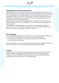#### Employing Persons with Criminal Records:

The possession of a criminal record is not a bar to employment at Steer Up. If an offer of employment or contract has been made that is dependent on the obtaining of a disclosure by the successful applicant the offer will only be withdrawn if the disclosed information is relevant to the duties of the post or the selection criteria for that post. If appropriate consideration will be given modifying the offer of employment rather than withdrawing it

Where a post is exempt from the Rehabilitation of Offenders Act, 1974 (where it involves working with children, the elderly or the sick) this will be identified in the job description

If employment is not dependent on a Disclosure and the applicant declares convictions the offer will only be withdrawn if the conviction(s) is relevant to the duties of the post or the selection criteria for that post

#### Record Keeping

The lead designated officer for the protection of vulnerable adults will retain the central record of all allegations and actions taken. This will include:

- Any notes, memoranda or correspondence dealing with the matter
- Any other relevant material

Copies of reports, notes etc will be kept securely password protected at all times, but will be shared in accordance with the Data Protection Act 1998.

#### **Training**

All staff within Steer up will undergo training so that they are fully aware of this policy and their responsibilities. Designated Protection of Vulnerable Adults Officers will receive additional training so that they can effectively fulfil their responsibilities to the protection of vulnerable adults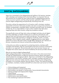# DIGITAL SAFEGUARDING

Steer Up is committed to the safeguarding and welfare of all mentors, mentees, staff, volunteers and members both online and offline. It is important that we demonstrate how we apply the same rigorous level of safeguarding protection online as we do in person, and this policy has been updated to reflect how we practice digital safeguarding and specifically minimising online risk.

This policy outlines the expectations for all mentors, staff, volunteers, members, associated contractors, third party providers and users to ensure the protection of children, young people, vulnerable adults, volunteers and staff online. As members of Steer Up, it's our responsibility to report online incidents that take place inappropriately and raise concerns, using the procedures outlined.

This specifically covers all Steer Up's online and digital activities, plus all digital activities undertaken on behalf of Steer Up at a national, international, and regional level and third-party social media and devices. This includes but is not limited to social media channels (i.e Instagram, Facebook, Twitter, YouTube, WhatsApp, TikTok, Linkedin), emails, website, blogging platforms, other digital platforms (i.e Zoom, Microsoft Teams, Google Meet, Hangouts), all IT devices (i.e phones, computers) and internet connectivity provided by Steer Up.

In this policy we outline our approach to protecting mentors, mentees, staff, volunteers and members. We are constrained by the terms of service of third-party providers in our approach. We promote safe use of such services, however we recognise that certain issues can only be handled by the service providers directly.

#### What do we mean by digital safeguarding?

Digital safeguarding means: 'the protection from harm in the online environment through the implementation of effective technical solutions, advice and support and procedures for managing incidents'. Steer Up is committed to the safeguarding and protection of all mentors, mentees, staff, volunteers, members and users of our digital services and social media channels, and we apply the same safeguarding principles to our activities whether they are offline or online. This means protecting our members, volunteers, trustees and staff from online harm such as but not limited to:

- Online bullying and harassment
- Sexual exploitation and grooming online
- Discrimination and abuse on the grounds of any protected characteristic
- Sharing of illegal and inappropriate imagery
- Cyberstalking
- Impersonation and hacking
- Disinformation and misinformation
- The oversharing of personal information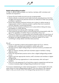### Digital safeguarding principles

In order to uphold these principles, our mentors, mentees, staff, volunteers and members are required to:

- Ensure all social media accounts are set up appropriately
- Clearly indicate on personal social media accounts using disclaimers that their thoughts and opinions are personal and are not reflective of Steer Up's policies, procedure or guidance
- Ensure that necessary technical solutions are in place to reduce access to inappropriate content on devices owned or used by Steer Up (i.e parental controls, filtering or monitoring software)
- Ensure that the necessary permissions are in place before taking and using photographs on mobile devices
- Remove photos from devices after meetings or events
- Attain parental permission before communicating with young people under the age of 16, regardless of whether they've contacted us first or not
- Continue to reinforce to young people and vulnerable adults the importance of using social media responsibly and safely using any necessary privacy settings
- Recognise that digital safeguarding is an important aspect of our work, committing to always deliver and share best practices

We will:

- Ensure our activities, projects and programs support all of our, mentors, mentees, staff, volunteers and members to remain safe online
- Use best practice digital safeguarding for technical solutions, processes and procedures
- Help our mentors, mentees, staff and volunteers support members in being effective online
- Follow the required best practice action when a digital safeguarding incident occurs
- Support and train appropriate mentors, staff, volunteers and members in digital safeguarding
- Include links with key organisations to raise awareness, refer and report incidents
- Carry out a risk-assessment for all activities, projects, programmes and services to ensure necessary digital safeguarding procedures are in place

If an issue is raised during an online mentoring session, it must be dealt with in the same manner as other safeguarding incidents. If you are unsure of the required steps to take, you should contact the Safeguarding representative for support.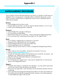# SAFEGUARDING PROCEDURE

This procedure must be followed whenever any mentor or member of staff hears an allegation from a young person, vulnerable adult or child that abuse has, or may have, occurred or where there is a significant concern that a vulnerable adult or child may be abused:

#### Receive:

- Acknowledge and note what is said
- Accept what you are told you do not need to decide whether or not it is true
- Listen without displaying shock or disbelief

#### Reassure:

- Acknowledge their courage in telling you
- Do not promise confidentiality
- Remind them they are not to blame avoid criticising the alleged perpetrator
- Do not promise that "everything will be alright now" (it might not be)

#### **React**

- Do not delay in registering your suspicions or concerns
- Respond to the individual but do not interrogate
- Avoid leading questions but ask open ended ones
- Clarify anything you do not understand
- Explain what you will do next (i.e. inform a Designated Safeguarding Officer)

### Record

- Make notes as soon as possible during the conversation if you can
- Use our **[Safeguarding](https://forms.gle/hvRVbJhLam5b822H8) Report form**
- Include the time, date, location, the individual's own words (do not assume ask questions, e.g. "Please tell me what that means?"
- Describe and note observable behaviour and appearance
- Cross out any mistakes
- Do not destroy your original notes they may be needed later on and must be given to the Designated Person.

### Support

- Consider what support is needed for the individual you may need to give them a lot of your time or they may need to be referred
- Ensure you are supported such interviews can be extremely stressful and time consuming
- Once reported, the Designated Safeguarding Officer will take responsibility for the matter and will take the necessary actions. However, if you have questions or need additional support then do ask.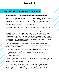# DEALING WITH INSTANCES OF ABUSE

#### Detailed Guidance & Procedure for dealing with instances of abuse

Steer Up recognises its legal duty to work with other agencies in safeguarding young people, vulnerable adults and in responding to abuse. All mentors and members of staff have a responsibility to be mindful of issues related to child, young person and vulnerable adult's safety and welfare, and a duty to report and refer any concerns however "minor" they appear to be.

Please note that it is not the job of our mentors or staff members to investigate these concerns.

In cases where it is deemed that the individual in question lacks sufficient understanding to make informed decisions about their own care and treatment, parents/carers have a right to be informed about any concerns about the vulnerable person's welfare or any action taken to safeguard and promote their welfare, providing this does not compromise their safety. Where there are possible concerns about a vulnerable person's safety, unconditional confidentiality cannot be guaranteed and should not be offered.

Steer Up will be proactive by taking positive steps to inform students and participants of their rights to safety and protection and the options available to express their fears or concerns:

- Information regarding safeguarding and a summary of our policy will be included in the mentee guidebook
- The safeguarding policy will be made available on our website
- Staff most likely to encounter vulnerable persons will be provided with appropriate training

When participants make allegations about abuse or neglect, they should always be listened to, have their comments taken seriously and, where appropriate, the allegations should be investigated thoroughly.

If you suspect that an individual is going to discuss abuse, either towards themselves or another, establish ground rules regarding confidentiality. They must be informed that the information will be shared with a nominated person for safeguarding vulnerable persons and possibly with a counsellor.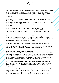The designated person will then contact the Local Authority Adult Protection Unit or Local Authority Child Protection Unit in order to discuss appropriate action. The Local Authority Adult Protection Unit or Local Authority Child Protection Unit is responsible for coordinating action in vulnerable person cases, including liaison with police.

Note: In the case of a vulnerable adult it is important to convey that the Adult Protection Unit will need to assess the situation and would want to work with the vulnerable adult in determining what could/should happen next. They would wish to respect the vulnerable adult's wishes and feelings provided no one is at immediate risk of harm.

If the vulnerable adult is fully aware of what could happen, they can:

- Decide whether they want to speak now or have time to think about it
- Be as informed as possible regarding the implications of passing on this information

If the complainant is the vulnerable adult or child themselves, questions should be kept to the minimum necessary to understand what is being alleged. Leading questions must be avoided as the use of leading questions can cause problems for the subsequent investigation and any court proceedings.

Procedure for staff dealing with suspicions or allegations of abuse to a child

Our primary concern is to protect the child - there is no choice other than to take action when you have reasonable cause to suspect child abuse.

## Actions to take upon suspicion or disclosure:

It is the duty of anyone who works with children to report disclosure of abuse. It is not for staff to decide whether or not a suspicion or allegation is true. All suspicions or allegations must be taken seriously and dealt with according to this procedure. Staff made aware of suspicions, allegations or actual abuse, are responsible to take the appropriate action according to the procedures set out below.

The incident should be reported immediately to the lead member of staff who is then responsible for dealing with allegations or suspicions of abuse. Staff should never try to deal with a suspicion, allegation or actual incident of abuse by him/herself.

It may sometimes be difficult to accept that something that has been disclosed in confidence by a child or anyone else should be passed on to a colleague. But the welfare of a child must be paramount and you therefore have a duty to report suspicions, allegations or actual incidents to the designated member of staff.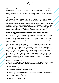Information should also be reported if you yourself have concerns that a child may be suffering harm or at risk of abuse, even if you are unsure about your suspicions.

Once this initial report has been made, the designated member of staff will consult with the Head of Safeguarding and relevant statutory agencies.

#### What is Abuse?

Appendix 3 sets of definitions of abuse but it can be physical, neglectful, sexual, financial, psychological, emotional, institutional or discriminatory in nature.

Abuse is behaviour towards a person that either deliberately or unknowingly causes a vulnerable adult harm, or endangers their life or their human or civil rights. It can be passive, (e.g. failing to take action to care for someone, or failing to raise the alert about abuse); or active, \9e.g. hitting, stealing or doing something that causes harm). Abuse can be a one-off or something that is repeated.

#### Procedure for staff dealing with suspicions or allegations of abuse to a vulnerable adult

Any suspicion, allegation or incident of abuse must be reported to the designated member of staff with responsibility for the protection of vulnerable adults as soon as possible and in any event within 2 hours. (The Local Authority Adult Protection Unit is responsible for coordinating action in vulnerable adult cases, including liaison with police).

If it is agreed to be a Vulnerable Adult matter, a written record of the date and time of the report shall be made and the report must include the name and position of the person to whom the matter is reported. The telephone report must be confirmed in writing to the local authority Adult Protection Unit within 24 hours. If the consent has not been gained from the vulnerable adult, the nominated member of staff should discuss with the Local Authority Adult Protection Unit what action will be taken to inform the parents / carers of the vulnerable adult and a note of that conversation should be made. The nominated member of staff must notify the Principal of the College as soon as practicable and in any event within 2 hours of the initial concern arising.

### Responding to an Allegation

A full record shall be made as soon as possible on our [Safeguarding](https://forms.gle/F5FZyuqd4vdKzUQG6) Report Form of the nature of the allegation and any other relevant information including:

- Date and time
- Place where the disclosure of information took place
- Place where the alleged abuse happened
- Your name and any others present
- Name of the person complaining and (if different) the name of the vulnerable adult who has allegedly been abused
- The nature of the alleged abuse
- A description of any injuries observed
- An account of the allegation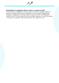#### Responding to an allegation about a mentor or member of staff

Any suspicions or allegations of actual abuse of a child or vulnerable adult by a mentor or member of staff must be reported to the nominated Safeguarding Manager, immediately. On being notified of any such matter, the designated member of staff will take steps as he/she considers necessary to ensure the safety of the person in question and any other person who might be at risk.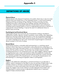## DEFINITIONS OF ABUSE

#### Physical Abuse

Physical abuse is the physical ill treatment of an adult, which may or may not cause physical injury and causes harm to the individual's person. It may involve pushing, slapping, pinching, punching, hitting, shaking, throwing, poisoning, burning, scalding, drowning or suffocating, force feeding, improper administration of medicines or denial of prescribed medicines, forced isolation and confinement, including a person being locked in a room or inappropriate sanctions or restraint, or inappropriate manual handling. It may be the result of a deliberate failure to prevent injury occurring.

#### Psychological and Emotional Abuse

Psychological abuse may involve the use of harassment, bullying, intimidation, indifference, hostility, rejection, threats, humiliation, name-calling, other degrading behaviours, shouting, swearing, discrimination or the use of oppressive language, mobile phone texting abuse, email, emotional abuse and all forms of cyber abuse. It can result in feelings of low self-worth. Some level of psychological or emotional abuse is present in all forms of abuse.

#### Sexual Abuse

Sexual abuse involves a vulnerable adult participating in, or watching, sexual activity to which they have not consented or were pressured into consenting, or to which they cannot give informed consent. It is not necessary for the individual to be aware that the activity is sexual. The activities may include: physical contact, including penetrative or non-penetrative acts, e.g. rape, buggery, indecent assault or inappropriate touch, incest, and situations where the perpetrator touches the abused person's body (e.g. breasts, buttocks, genital area); Non-contact activities, e.g. exposing genitals to the abused person, or coercing the abused person into participating in or watching pornographic videos or photographs.

#### **Neglect**

Neglect is the deliberate withholding or unintentional failure to provide help or support, which is necessary for the adult to carry out activities of daily living. It also includes a failure to intervene in situations that are dangerous to the person concerned or to others, particularly when the person lacks the mental capacity to assess risk. Neglect may involve: failing to provide adequate food, shelter and clothing; failure to ensure access to appropriate medical care or treatment; neglect of basic emotional needs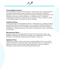#### Financial/Material Abuse

Financial/Material Abuse is the exploitation, inappropriate use or misappropriation of a person's financial resources or property. It occurs when the individual is deprived of their own financial assets, for example, by holding money back from the individual, obtaining money by deception, or stealing money. It includes the withholding of money or the improper use of a person's money or property, usually to the disadvantage of the person to whom it belongs.

#### Institutional Abuse

Institutional abuse can be defined as abuse or mistreatment by a regime as well as by individuals within any building where care is provided. Examples include lack of flexibility and choice, lack of consultation, public discussion of personal matters, inadequate or delayed responses, staff overly controlling service users' relationships and activities.

#### Discriminatory Abuse

Repeated, ongoing or widespread discrimination on the grounds of age, race, disability, religion, sexual preference or gender, slurs, harassment, name-calling, breaches in civil liberties, unequal access to health or social care.

#### Significant Harm

Sometimes, a single traumatic event may constitute significant harm, e.g. violent assault, suffocation or poisoning. More often, significant harm is a compilation of significant events, both acute and long-standing, which interrupt, change or damage the adult's physical and psychological development.